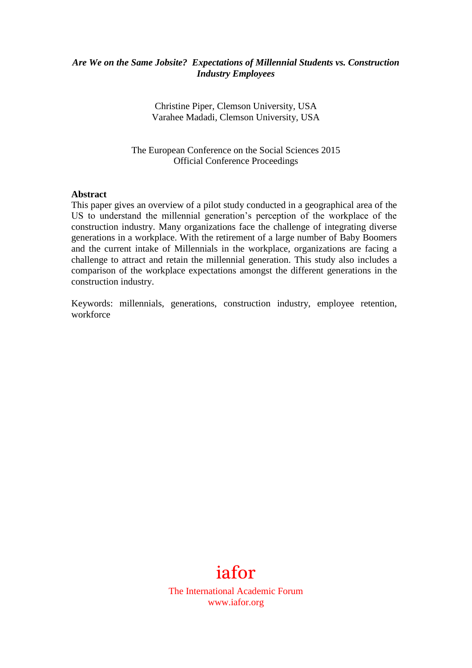### *Are We on the Same Jobsite? Expectations of Millennial Students vs. Construction Industry Employees*

Christine Piper, Clemson University, USA Varahee Madadi, Clemson University, USA

The European Conference on the Social Sciences 2015 Official Conference Proceedings

#### **Abstract**

This paper gives an overview of a pilot study conducted in a geographical area of the US to understand the millennial generation's perception of the workplace of the construction industry. Many organizations face the challenge of integrating diverse generations in a workplace. With the retirement of a large number of Baby Boomers and the current intake of Millennials in the workplace, organizations are facing a challenge to attract and retain the millennial generation. This study also includes a comparison of the workplace expectations amongst the different generations in the construction industry.

Keywords: millennials, generations, construction industry, employee retention, workforce



The International Academic Forum www.iafor.org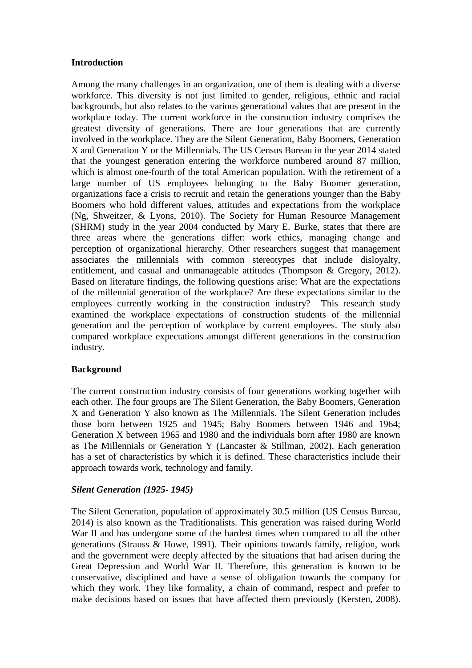### **Introduction**

Among the many challenges in an organization, one of them is dealing with a diverse workforce. This diversity is not just limited to gender, religious, ethnic and racial backgrounds, but also relates to the various generational values that are present in the workplace today. The current workforce in the construction industry comprises the greatest diversity of generations. There are four generations that are currently involved in the workplace. They are the Silent Generation, Baby Boomers, Generation X and Generation Y or the Millennials. The US Census Bureau in the year 2014 stated that the youngest generation entering the workforce numbered around 87 million, which is almost one-fourth of the total American population. With the retirement of a large number of US employees belonging to the Baby Boomer generation, organizations face a crisis to recruit and retain the generations younger than the Baby Boomers who hold different values, attitudes and expectations from the workplace (Ng, Shweitzer, & Lyons, 2010). The Society for Human Resource Management (SHRM) study in the year 2004 conducted by Mary E. Burke, states that there are three areas where the generations differ: work ethics, managing change and perception of organizational hierarchy. Other researchers suggest that management associates the millennials with common stereotypes that include disloyalty, entitlement, and casual and unmanageable attitudes (Thompson & Gregory, 2012). Based on literature findings, the following questions arise: What are the expectations of the millennial generation of the workplace? Are these expectations similar to the employees currently working in the construction industry? This research study examined the workplace expectations of construction students of the millennial generation and the perception of workplace by current employees. The study also compared workplace expectations amongst different generations in the construction industry.

# **Background**

The current construction industry consists of four generations working together with each other. The four groups are The Silent Generation, the Baby Boomers, Generation X and Generation Y also known as The Millennials. The Silent Generation includes those born between 1925 and 1945; Baby Boomers between 1946 and 1964; Generation X between 1965 and 1980 and the individuals born after 1980 are known as The Millennials or Generation Y (Lancaster & Stillman, 2002). Each generation has a set of characteristics by which it is defined. These characteristics include their approach towards work, technology and family.

# *Silent Generation (1925- 1945)*

The Silent Generation, population of approximately 30.5 million (US Census Bureau, 2014) is also known as the Traditionalists. This generation was raised during World War II and has undergone some of the hardest times when compared to all the other generations (Strauss & Howe, 1991). Their opinions towards family, religion, work and the government were deeply affected by the situations that had arisen during the Great Depression and World War II. Therefore, this generation is known to be conservative, disciplined and have a sense of obligation towards the company for which they work. They like formality, a chain of command, respect and prefer to make decisions based on issues that have affected them previously (Kersten, 2008).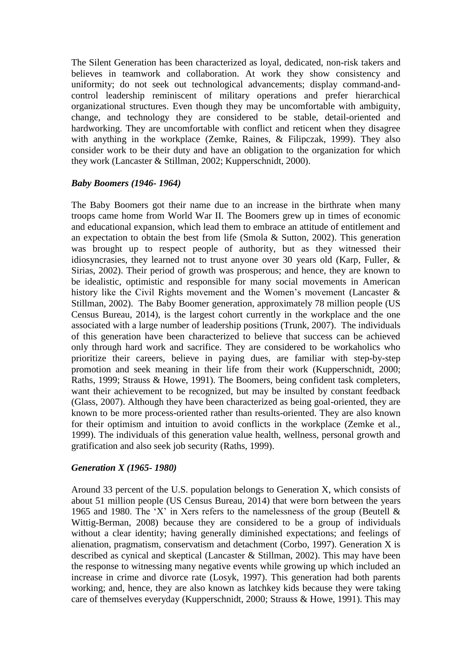The Silent Generation has been characterized as loyal, dedicated, non-risk takers and believes in teamwork and collaboration. At work they show consistency and uniformity; do not seek out technological advancements; display command-andcontrol leadership reminiscent of military operations and prefer hierarchical organizational structures. Even though they may be uncomfortable with ambiguity, change, and technology they are considered to be stable, detail-oriented and hardworking. They are uncomfortable with conflict and reticent when they disagree with anything in the workplace (Zemke, Raines, & Filipczak, 1999). They also consider work to be their duty and have an obligation to the organization for which they work (Lancaster & Stillman, 2002; Kupperschnidt, 2000).

### *Baby Boomers (1946- 1964)*

The Baby Boomers got their name due to an increase in the birthrate when many troops came home from World War II. The Boomers grew up in times of economic and educational expansion, which lead them to embrace an attitude of entitlement and an expectation to obtain the best from life (Smola & Sutton, 2002). This generation was brought up to respect people of authority, but as they witnessed their idiosyncrasies, they learned not to trust anyone over 30 years old (Karp, Fuller, & Sirias, 2002). Their period of growth was prosperous; and hence, they are known to be idealistic, optimistic and responsible for many social movements in American history like the Civil Rights movement and the Women's movement (Lancaster & Stillman, 2002). The Baby Boomer generation, approximately 78 million people (US Census Bureau, 2014), is the largest cohort currently in the workplace and the one associated with a large number of leadership positions (Trunk, 2007). The individuals of this generation have been characterized to believe that success can be achieved only through hard work and sacrifice. They are considered to be workaholics who prioritize their careers, believe in paying dues, are familiar with step-by-step promotion and seek meaning in their life from their work (Kupperschnidt, 2000; Raths, 1999; Strauss & Howe, 1991). The Boomers, being confident task completers, want their achievement to be recognized, but may be insulted by constant feedback (Glass, 2007). Although they have been characterized as being goal-oriented, they are known to be more process-oriented rather than results-oriented. They are also known for their optimism and intuition to avoid conflicts in the workplace (Zemke et al., 1999). The individuals of this generation value health, wellness, personal growth and gratification and also seek job security (Raths, 1999).

### *Generation X (1965- 1980)*

Around 33 percent of the U.S. population belongs to Generation X, which consists of about 51 million people (US Census Bureau, 2014) that were born between the years 1965 and 1980. The 'X' in Xers refers to the namelessness of the group (Beutell  $\&$ Wittig-Berman, 2008) because they are considered to be a group of individuals without a clear identity; having generally diminished expectations; and feelings of alienation, pragmatism, conservatism and detachment (Corbo, 1997). Generation X is described as cynical and skeptical (Lancaster & Stillman, 2002). This may have been the response to witnessing many negative events while growing up which included an increase in crime and divorce rate (Losyk, 1997). This generation had both parents working; and, hence, they are also known as latchkey kids because they were taking care of themselves everyday (Kupperschnidt, 2000; Strauss & Howe, 1991). This may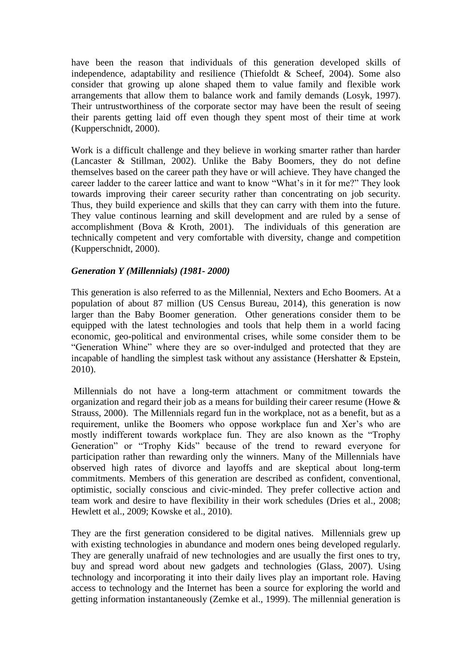have been the reason that individuals of this generation developed skills of independence, adaptability and resilience (Thiefoldt & Scheef, 2004). Some also consider that growing up alone shaped them to value family and flexible work arrangements that allow them to balance work and family demands (Losyk, 1997). Their untrustworthiness of the corporate sector may have been the result of seeing their parents getting laid off even though they spent most of their time at work (Kupperschnidt, 2000).

Work is a difficult challenge and they believe in working smarter rather than harder (Lancaster & Stillman, 2002). Unlike the Baby Boomers, they do not define themselves based on the career path they have or will achieve. They have changed the career ladder to the career lattice and want to know "What's in it for me?" They look towards improving their career security rather than concentrating on job security. Thus, they build experience and skills that they can carry with them into the future. They value continous learning and skill development and are ruled by a sense of accomplishment (Bova & Kroth, 2001). The individuals of this generation are technically competent and very comfortable with diversity, change and competition (Kupperschnidt, 2000).

### *Generation Y (Millennials) (1981- 2000)*

This generation is also referred to as the Millennial, Nexters and Echo Boomers. At a population of about 87 million (US Census Bureau, 2014), this generation is now larger than the Baby Boomer generation. Other generations consider them to be equipped with the latest technologies and tools that help them in a world facing economic, geo-political and environmental crises, while some consider them to be "Generation Whine" where they are so over-indulged and protected that they are incapable of handling the simplest task without any assistance (Hershatter & Epstein, 2010).

Millennials do not have a long-term attachment or commitment towards the organization and regard their job as a means for building their career resume (Howe & Strauss, 2000). The Millennials regard fun in the workplace, not as a benefit, but as a requirement, unlike the Boomers who oppose workplace fun and Xer's who are mostly indifferent towards workplace fun. They are also known as the "Trophy Generation" or "Trophy Kids" because of the trend to reward everyone for participation rather than rewarding only the winners. Many of the Millennials have observed high rates of divorce and layoffs and are skeptical about long-term commitments. Members of this generation are described as confident, conventional, optimistic, socially conscious and civic-minded. They prefer collective action and team work and desire to have flexibility in their work schedules (Dries et al., 2008; Hewlett et al., 2009; Kowske et al., 2010).

They are the first generation considered to be digital natives. Millennials grew up with existing technologies in abundance and modern ones being developed regularly. They are generally unafraid of new technologies and are usually the first ones to try, buy and spread word about new gadgets and technologies (Glass, 2007). Using technology and incorporating it into their daily lives play an important role. Having access to technology and the Internet has been a source for exploring the world and getting information instantaneously (Zemke et al., 1999). The millennial generation is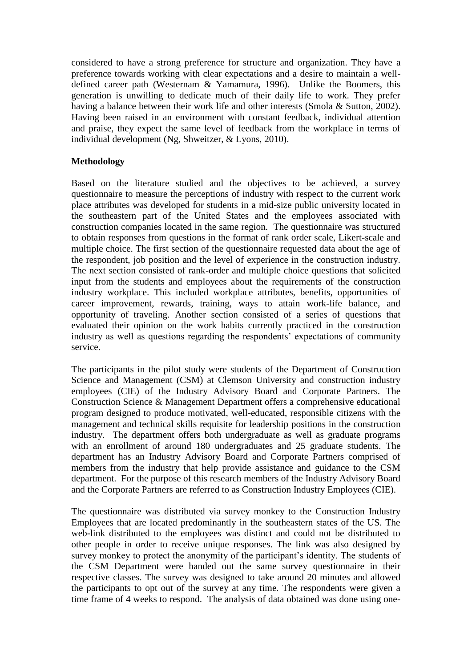considered to have a strong preference for structure and organization. They have a preference towards working with clear expectations and a desire to maintain a welldefined career path (Westernam & Yamamura, 1996). Unlike the Boomers, this generation is unwilling to dedicate much of their daily life to work. They prefer having a balance between their work life and other interests (Smola & Sutton, 2002). Having been raised in an environment with constant feedback, individual attention and praise, they expect the same level of feedback from the workplace in terms of individual development (Ng, Shweitzer, & Lyons, 2010).

## **Methodology**

Based on the literature studied and the objectives to be achieved, a survey questionnaire to measure the perceptions of industry with respect to the current work place attributes was developed for students in a mid-size public university located in the southeastern part of the United States and the employees associated with construction companies located in the same region. The questionnaire was structured to obtain responses from questions in the format of rank order scale, Likert-scale and multiple choice. The first section of the questionnaire requested data about the age of the respondent, job position and the level of experience in the construction industry. The next section consisted of rank-order and multiple choice questions that solicited input from the students and employees about the requirements of the construction industry workplace. This included workplace attributes, benefits, opportunities of career improvement, rewards, training, ways to attain work-life balance, and opportunity of traveling. Another section consisted of a series of questions that evaluated their opinion on the work habits currently practiced in the construction industry as well as questions regarding the respondents' expectations of community service.

The participants in the pilot study were students of the Department of Construction Science and Management (CSM) at Clemson University and construction industry employees (CIE) of the Industry Advisory Board and Corporate Partners. The Construction Science & Management Department offers a comprehensive educational program designed to produce motivated, well-educated, responsible citizens with the management and technical skills requisite for leadership positions in the construction industry. The department offers both undergraduate as well as graduate programs with an enrollment of around 180 undergraduates and 25 graduate students. The department has an Industry Advisory Board and Corporate Partners comprised of members from the industry that help provide assistance and guidance to the CSM department. For the purpose of this research members of the Industry Advisory Board and the Corporate Partners are referred to as Construction Industry Employees (CIE).

The questionnaire was distributed via survey monkey to the Construction Industry Employees that are located predominantly in the southeastern states of the US. The web-link distributed to the employees was distinct and could not be distributed to other people in order to receive unique responses. The link was also designed by survey monkey to protect the anonymity of the participant's identity. The students of the CSM Department were handed out the same survey questionnaire in their respective classes. The survey was designed to take around 20 minutes and allowed the participants to opt out of the survey at any time. The respondents were given a time frame of 4 weeks to respond. The analysis of data obtained was done using one-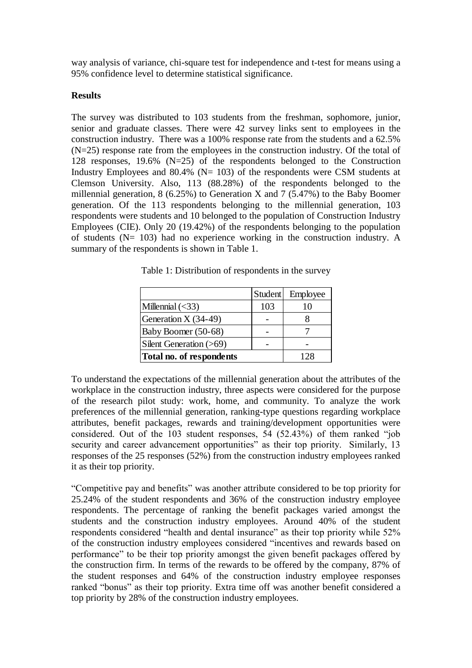way analysis of variance, chi-square test for independence and t-test for means using a 95% confidence level to determine statistical significance.

### **Results**

The survey was distributed to 103 students from the freshman, sophomore, junior, senior and graduate classes. There were 42 survey links sent to employees in the construction industry. There was a 100% response rate from the students and a 62.5% (N=25) response rate from the employees in the construction industry. Of the total of 128 responses, 19.6% (N=25) of the respondents belonged to the Construction Industry Employees and 80.4% ( $N=103$ ) of the respondents were CSM students at Clemson University. Also, 113 (88.28%) of the respondents belonged to the millennial generation,  $8(6.25\%)$  to Generation X and  $7(5.47\%)$  to the Baby Boomer generation. Of the 113 respondents belonging to the millennial generation, 103 respondents were students and 10 belonged to the population of Construction Industry Employees (CIE). Only 20 (19.42%) of the respondents belonging to the population of students (N= 103) had no experience working in the construction industry. A summary of the respondents is shown in Table 1.

|                                 | <b>Student</b> | Employee |
|---------------------------------|----------------|----------|
| Millennial $(\leq 33)$          | 103            |          |
| Generation X (34-49)            |                |          |
| Baby Boomer (50-68)             |                |          |
| Silent Generation (>69)         |                |          |
| <b>Total no. of respondents</b> | 128            |          |

Table 1: Distribution of respondents in the survey

To understand the expectations of the millennial generation about the attributes of the workplace in the construction industry, three aspects were considered for the purpose of the research pilot study: work, home, and community. To analyze the work preferences of the millennial generation, ranking-type questions regarding workplace attributes, benefit packages, rewards and training/development opportunities were considered. Out of the 103 student responses, 54 (52.43%) of them ranked "job security and career advancement opportunities" as their top priority. Similarly, 13 responses of the 25 responses (52%) from the construction industry employees ranked it as their top priority.

"Competitive pay and benefits" was another attribute considered to be top priority for 25.24% of the student respondents and 36% of the construction industry employee respondents. The percentage of ranking the benefit packages varied amongst the students and the construction industry employees. Around 40% of the student respondents considered "health and dental insurance" as their top priority while 52% of the construction industry employees considered "incentives and rewards based on performance" to be their top priority amongst the given benefit packages offered by the construction firm. In terms of the rewards to be offered by the company, 87% of the student responses and 64% of the construction industry employee responses ranked "bonus" as their top priority. Extra time off was another benefit considered a top priority by 28% of the construction industry employees.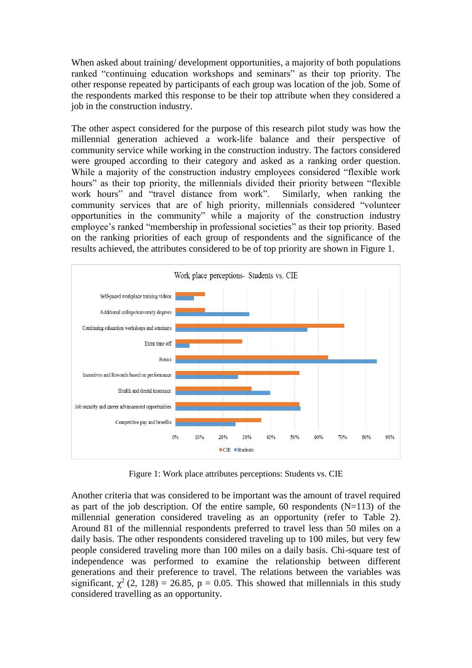When asked about training/ development opportunities, a majority of both populations ranked "continuing education workshops and seminars" as their top priority. The other response repeated by participants of each group was location of the job. Some of the respondents marked this response to be their top attribute when they considered a job in the construction industry.

The other aspect considered for the purpose of this research pilot study was how the millennial generation achieved a work-life balance and their perspective of community service while working in the construction industry. The factors considered were grouped according to their category and asked as a ranking order question. While a majority of the construction industry employees considered "flexible work hours" as their top priority, the millennials divided their priority between "flexible" work hours" and "travel distance from work". Similarly, when ranking the community services that are of high priority, millennials considered "volunteer opportunities in the community" while a majority of the construction industry employee's ranked "membership in professional societies" as their top priority. Based on the ranking priorities of each group of respondents and the significance of the results achieved, the attributes considered to be of top priority are shown in Figure 1.



Figure 1: Work place attributes perceptions: Students vs. CIE

Another criteria that was considered to be important was the amount of travel required as part of the job description. Of the entire sample, 60 respondents  $(N=113)$  of the millennial generation considered traveling as an opportunity (refer to Table 2). Around 81 of the millennial respondents preferred to travel less than 50 miles on a daily basis. The other respondents considered traveling up to 100 miles, but very few people considered traveling more than 100 miles on a daily basis. Chi-square test of independence was performed to examine the relationship between different generations and their preference to travel. The relations between the variables was significant,  $\chi^2$  (2, 128) = 26.85, p = 0.05. This showed that millennials in this study considered travelling as an opportunity.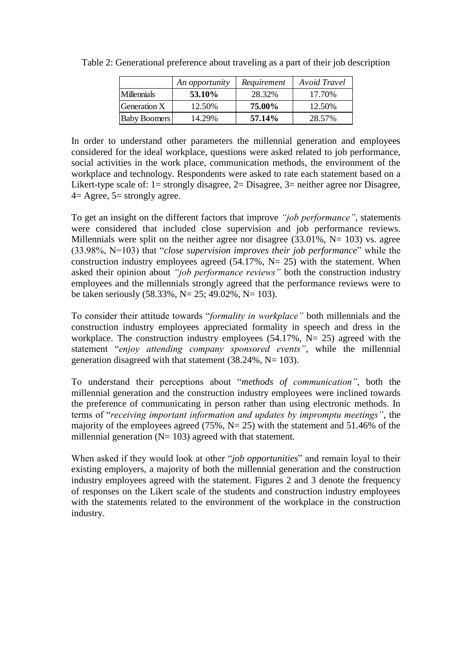|                     | An opportunity | Requirement | Avoid Travel |
|---------------------|----------------|-------------|--------------|
| <b>Millennials</b>  | <b>53.10%</b>  | 28.32%      | 17.70%       |
| Generation X        | 12.50%         | 75.00%      | 12.50%       |
| <b>Baby Boomers</b> | 14.29%         | 57.14%      | 28.57%       |

Table 2: Generational preference about traveling as a part of their job description

In order to understand other parameters the millennial generation and employees considered for the ideal workplace, questions were asked related to job performance, social activities in the work place, communication methods, the environment of the workplace and technology. Respondents were asked to rate each statement based on a Likert-type scale of:  $1=$  strongly disagree,  $2=$  Disagree,  $3=$  neither agree nor Disagree,  $4=$  Agree,  $5=$  strongly agree.

To get an insight on the different factors that improve *"job performance"*, statements were considered that included close supervision and job performance reviews. Millennials were split on the neither agree nor disagree  $(33.01\% , N= 103)$  vs. agree (33.98%, N=103) that "*close supervision improves their job performance*" while the construction industry employees agreed  $(54.17\% , N= 25)$  with the statement. When asked their opinion about *"job performance reviews"* both the construction industry employees and the millennials strongly agreed that the performance reviews were to be taken seriously (58.33%, N= 25; 49.02%, N= 103).

To consider their attitude towards "*formality in workplace"* both millennials and the construction industry employees appreciated formality in speech and dress in the workplace. The construction industry employees  $(54.17\%, N= 25)$  agreed with the statement "*enjoy attending company sponsored events"*, while the millennial generation disagreed with that statement  $(38.24\%, N=103)$ .

To understand their perceptions about "*methods of communication"*, both the millennial generation and the construction industry employees were inclined towards the preference of communicating in person rather than using electronic methods. In terms of "*receiving important information and updates by impromptu meetings"*, the majority of the employees agreed  $(75\%, N=25)$  with the statement and 51.46% of the millennial generation  $(N= 103)$  agreed with that statement.

When asked if they would look at other "*job opportunities*" and remain loyal to their existing employers, a majority of both the millennial generation and the construction industry employees agreed with the statement. Figures 2 and 3 denote the frequency of responses on the Likert scale of the students and construction industry employees with the statements related to the environment of the workplace in the construction industry.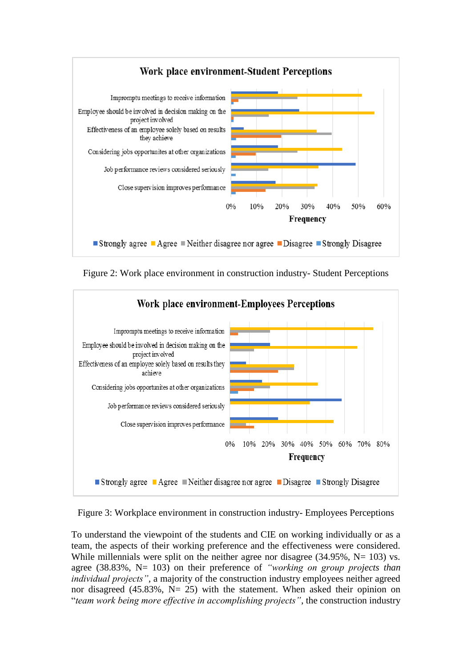

Figure 2: Work place environment in construction industry- Student Perceptions



Figure 3: Workplace environment in construction industry- Employees Perceptions

To understand the viewpoint of the students and CIE on working individually or as a team, the aspects of their working preference and the effectiveness were considered. While millennials were split on the neither agree nor disagree  $(34.95\%, N= 103)$  vs. agree (38.83%, N= 103) on their preference of *"working on group projects than individual projects"*, a majority of the construction industry employees neither agreed nor disagreed (45.83%,  $N = 25$ ) with the statement. When asked their opinion on "*team work being more effective in accomplishing projects"*, the construction industry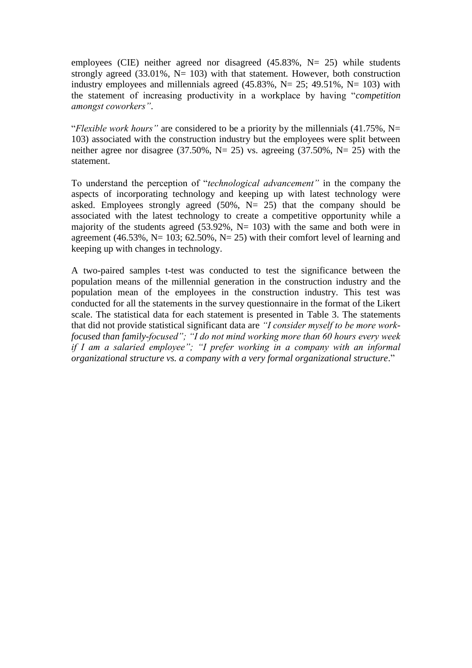employees (CIE) neither agreed nor disagreed  $(45.83\%, N= 25)$  while students strongly agreed (33.01%,  $N = 103$ ) with that statement. However, both construction industry employees and millennials agreed  $(45.83\% \text{ N} = 25; 49.51\% \text{ N} = 103)$  with the statement of increasing productivity in a workplace by having "*competition amongst coworkers"*.

"*Flexible work hours"* are considered to be a priority by the millennials (41.75%, N= 103) associated with the construction industry but the employees were split between neither agree nor disagree (37.50%, N= 25) vs. agreeing (37.50%, N= 25) with the statement.

To understand the perception of "*technological advancement"* in the company the aspects of incorporating technology and keeping up with latest technology were asked. Employees strongly agreed  $(50\% , N = 25)$  that the company should be associated with the latest technology to create a competitive opportunity while a majority of the students agreed  $(53.92\% , N= 103)$  with the same and both were in agreement (46.53%, N= 103; 62.50%, N= 25) with their comfort level of learning and keeping up with changes in technology.

A two-paired samples t-test was conducted to test the significance between the population means of the millennial generation in the construction industry and the population mean of the employees in the construction industry. This test was conducted for all the statements in the survey questionnaire in the format of the Likert scale. The statistical data for each statement is presented in Table 3. The statements that did not provide statistical significant data are *"I consider myself to be more workfocused than family-focused"; "I do not mind working more than 60 hours every week if I am a salaried employee"; "I prefer working in a company with an informal organizational structure vs. a company with a very formal organizational structure*."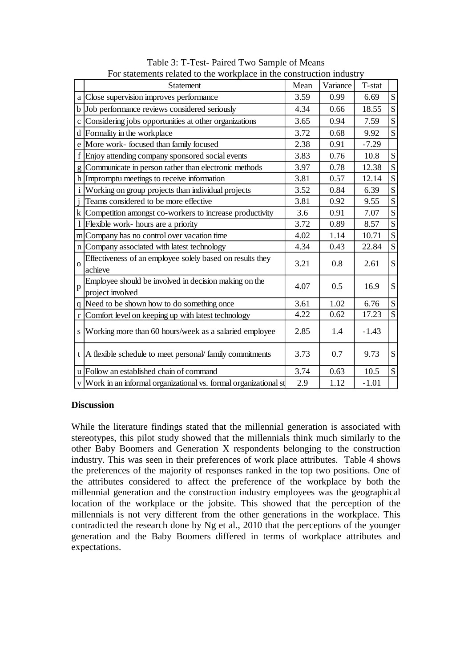|              | Statement                                                                 | Mean | Variance | T-stat  |             |
|--------------|---------------------------------------------------------------------------|------|----------|---------|-------------|
| a            | Close supervision improves performance                                    | 3.59 | 0.99     | 6.69    | S           |
| $\mathbf b$  | Job performance reviews considered seriously                              | 4.34 | 0.66     | 18.55   | ${\bf S}$   |
| $\mathbf{C}$ | Considering jobs opportunities at other organizations                     | 3.65 | 0.94     | 7.59    | S           |
| d            | Formality in the workplace                                                | 3.72 | 0.68     | 9.92    | S           |
| e            | More work- focused than family focused                                    |      | 0.91     | $-7.29$ |             |
| f            | Enjoy attending company sponsored social events                           |      | 0.76     | 10.8    | S           |
| g            | Communicate in person rather than electronic methods                      | 3.97 | 0.78     | 12.38   | S           |
| h            | Impromptu meetings to receive information                                 | 3.81 | 0.57     | 12.14   | ${\bf S}$   |
| i            | Working on group projects than individual projects                        |      | 0.84     | 6.39    | S           |
|              | Teams considered to be more effective                                     | 3.81 | 0.92     | 9.55    | S           |
| k            | Competition amongst co-workers to increase productivity                   | 3.6  | 0.91     | 7.07    | S           |
|              | Flexible work- hours are a priority                                       | 3.72 | 0.89     | 8.57    | S           |
| m            | Company has no control over vacation time                                 | 4.02 | 1.14     | 10.71   | S           |
| n            | Company associated with latest technology                                 | 4.34 | 0.43     | 22.84   | S           |
| $\Omega$     | Effectiveness of an employee solely based on results they<br>achieve      | 3.21 | 0.8      | 2.61    | S           |
| p            | Employee should be involved in decision making on the<br>project involved | 4.07 | 0.5      | 16.9    | S           |
| $q \mid$     | Need to be shown how to do something once                                 | 3.61 | 1.02     | 6.76    | ${\bf S}$   |
| $\mathbf{r}$ | Comfort level on keeping up with latest technology                        | 4.22 | 0.62     | 17.23   | $\mathbf S$ |
| S            | Working more than 60 hours/week as a salaried employee                    | 2.85 | 1.4      | $-1.43$ |             |
| t            | A flexible schedule to meet personal/ family commitments                  | 3.73 | 0.7      | 9.73    | S           |
|              | u Follow an established chain of command                                  | 3.74 | 0.63     | 10.5    | ${\bf S}$   |
|              | v Work in an informal organizational vs. formal organizational st         | 2.9  | 1.12     | $-1.01$ |             |

Table 3: T-Test- Paired Two Sample of Means For statements related to the workplace in the construction industry

### **Discussion**

While the literature findings stated that the millennial generation is associated with stereotypes, this pilot study showed that the millennials think much similarly to the other Baby Boomers and Generation X respondents belonging to the construction industry. This was seen in their preferences of work place attributes. Table 4 shows the preferences of the majority of responses ranked in the top two positions. One of the attributes considered to affect the preference of the workplace by both the millennial generation and the construction industry employees was the geographical location of the workplace or the jobsite. This showed that the perception of the millennials is not very different from the other generations in the workplace. This contradicted the research done by Ng et al., 2010 that the perceptions of the younger generation and the Baby Boomers differed in terms of workplace attributes and expectations.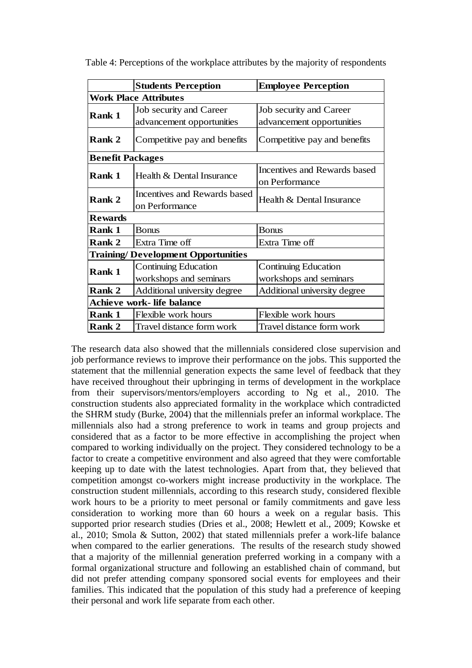|                                           | <b>Students Perception</b>   | <b>Employee Perception</b>   |  |  |  |  |  |
|-------------------------------------------|------------------------------|------------------------------|--|--|--|--|--|
|                                           | <b>Work Place Attributes</b> |                              |  |  |  |  |  |
| <b>Rank 1</b>                             | Job security and Career      | Job security and Career      |  |  |  |  |  |
|                                           | advancement opportunities    | advancement opportunities    |  |  |  |  |  |
| Rank 2                                    | Competitive pay and benefits | Competitive pay and benefits |  |  |  |  |  |
| <b>Benefit Packages</b>                   |                              |                              |  |  |  |  |  |
| Rank 1                                    | Health & Dental Insurance    | Incentives and Rewards based |  |  |  |  |  |
|                                           |                              | on Performance               |  |  |  |  |  |
| <b>Rank 2</b>                             | Incentives and Rewards based | Health & Dental Insurance    |  |  |  |  |  |
|                                           | on Performance               |                              |  |  |  |  |  |
| <b>Rewards</b>                            |                              |                              |  |  |  |  |  |
| <b>Rank 1</b>                             | <b>Bonus</b>                 | <b>Bonus</b>                 |  |  |  |  |  |
| <b>Rank 2</b>                             | Extra Time off               | Extra Time off               |  |  |  |  |  |
| <b>Training/Development Opportunities</b> |                              |                              |  |  |  |  |  |
| <b>Rank 1</b>                             | <b>Continuing Education</b>  | Continuing Education         |  |  |  |  |  |
|                                           | workshops and seminars       | workshops and seminars       |  |  |  |  |  |
| <b>Rank 2</b>                             | Additional university degree | Additional university degree |  |  |  |  |  |
| Achieve work- life balance                |                              |                              |  |  |  |  |  |
| <b>Rank 1</b>                             | Flexible work hours          | Flexible work hours          |  |  |  |  |  |
| <b>Rank 2</b>                             | Travel distance form work    | Travel distance form work    |  |  |  |  |  |

Table 4: Perceptions of the workplace attributes by the majority of respondents

The research data also showed that the millennials considered close supervision and job performance reviews to improve their performance on the jobs. This supported the statement that the millennial generation expects the same level of feedback that they have received throughout their upbringing in terms of development in the workplace from their supervisors/mentors/employers according to Ng et al., 2010. The construction students also appreciated formality in the workplace which contradicted the SHRM study (Burke, 2004) that the millennials prefer an informal workplace. The millennials also had a strong preference to work in teams and group projects and considered that as a factor to be more effective in accomplishing the project when compared to working individually on the project. They considered technology to be a factor to create a competitive environment and also agreed that they were comfortable keeping up to date with the latest technologies. Apart from that, they believed that competition amongst co-workers might increase productivity in the workplace. The construction student millennials, according to this research study, considered flexible work hours to be a priority to meet personal or family commitments and gave less consideration to working more than 60 hours a week on a regular basis. This supported prior research studies (Dries et al., 2008; Hewlett et al., 2009; Kowske et al., 2010; Smola & Sutton, 2002) that stated millennials prefer a work-life balance when compared to the earlier generations. The results of the research study showed that a majority of the millennial generation preferred working in a company with a formal organizational structure and following an established chain of command, but did not prefer attending company sponsored social events for employees and their families. This indicated that the population of this study had a preference of keeping their personal and work life separate from each other.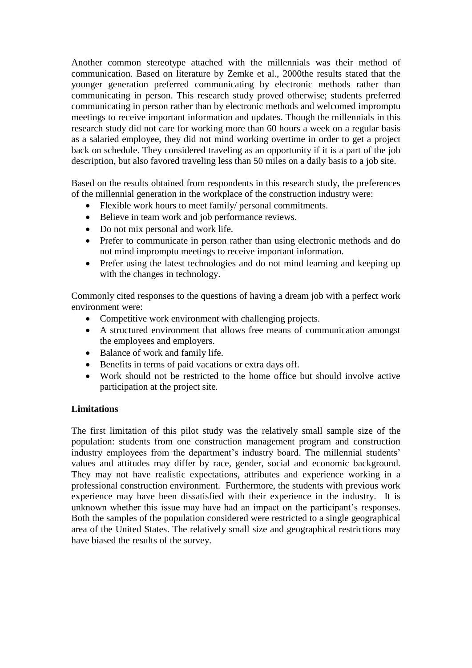Another common stereotype attached with the millennials was their method of communication. Based on literature by Zemke et al., 2000the results stated that the younger generation preferred communicating by electronic methods rather than communicating in person. This research study proved otherwise; students preferred communicating in person rather than by electronic methods and welcomed impromptu meetings to receive important information and updates. Though the millennials in this research study did not care for working more than 60 hours a week on a regular basis as a salaried employee, they did not mind working overtime in order to get a project back on schedule. They considered traveling as an opportunity if it is a part of the job description, but also favored traveling less than 50 miles on a daily basis to a job site.

Based on the results obtained from respondents in this research study, the preferences of the millennial generation in the workplace of the construction industry were:

- Flexible work hours to meet family/ personal commitments.
- Believe in team work and job performance reviews.
- Do not mix personal and work life.
- Prefer to communicate in person rather than using electronic methods and do not mind impromptu meetings to receive important information.
- Prefer using the latest technologies and do not mind learning and keeping up with the changes in technology.

Commonly cited responses to the questions of having a dream job with a perfect work environment were:

- Competitive work environment with challenging projects.
- A structured environment that allows free means of communication amongst the employees and employers.
- Balance of work and family life.
- Benefits in terms of paid vacations or extra days off.
- Work should not be restricted to the home office but should involve active participation at the project site.

# **Limitations**

The first limitation of this pilot study was the relatively small sample size of the population: students from one construction management program and construction industry employees from the department's industry board. The millennial students' values and attitudes may differ by race, gender, social and economic background. They may not have realistic expectations, attributes and experience working in a professional construction environment. Furthermore, the students with previous work experience may have been dissatisfied with their experience in the industry. It is unknown whether this issue may have had an impact on the participant's responses. Both the samples of the population considered were restricted to a single geographical area of the United States. The relatively small size and geographical restrictions may have biased the results of the survey.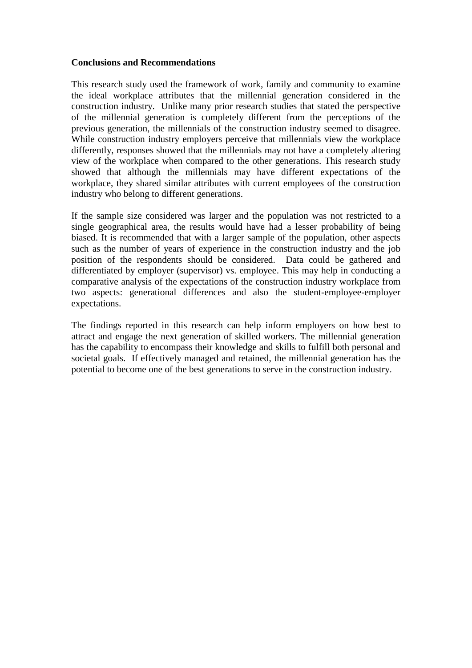### **Conclusions and Recommendations**

This research study used the framework of work, family and community to examine the ideal workplace attributes that the millennial generation considered in the construction industry. Unlike many prior research studies that stated the perspective of the millennial generation is completely different from the perceptions of the previous generation, the millennials of the construction industry seemed to disagree. While construction industry employers perceive that millennials view the workplace differently, responses showed that the millennials may not have a completely altering view of the workplace when compared to the other generations. This research study showed that although the millennials may have different expectations of the workplace, they shared similar attributes with current employees of the construction industry who belong to different generations.

If the sample size considered was larger and the population was not restricted to a single geographical area, the results would have had a lesser probability of being biased. It is recommended that with a larger sample of the population, other aspects such as the number of years of experience in the construction industry and the job position of the respondents should be considered. Data could be gathered and differentiated by employer (supervisor) vs. employee. This may help in conducting a comparative analysis of the expectations of the construction industry workplace from two aspects: generational differences and also the student-employee-employer expectations.

The findings reported in this research can help inform employers on how best to attract and engage the next generation of skilled workers. The millennial generation has the capability to encompass their knowledge and skills to fulfill both personal and societal goals. If effectively managed and retained, the millennial generation has the potential to become one of the best generations to serve in the construction industry.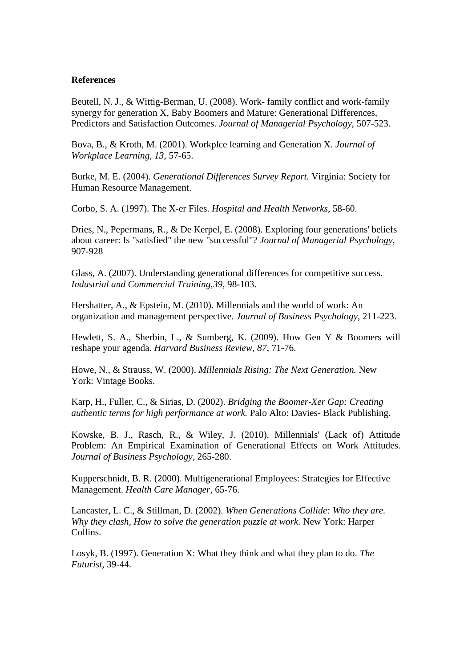#### **References**

Beutell, N. J., & Wittig-Berman, U. (2008). Work- family conflict and work-family synergy for generation X, Baby Boomers and Mature: Generational Differences, Predictors and Satisfaction Outcomes. *Journal of Managerial Psychology*, 507-523.

Bova, B., & Kroth, M. (2001). Workplce learning and Generation X. *Journal of Workplace Learning, 13*, 57-65.

Burke, M. E. (2004). *Generational Differences Survey Report.* Virginia: Society for Human Resource Management.

Corbo, S. A. (1997). The X-er Files. *Hospital and Health Networks*, 58-60.

Dries, N., Pepermans, R., & De Kerpel, E. (2008). Exploring four generations' beliefs about career: Is "satisfied" the new "successful"? *Journal of Managerial Psychology*, 907-928

Glass, A. (2007). Understanding generational differences for competitive success. *Industrial and Commercial Training,39*, 98-103.

Hershatter, A., & Epstein, M. (2010). Millennials and the world of work: An organization and management perspective. *Journal of Business Psychology*, 211-223.

Hewlett, S. A., Sherbin, L., & Sumberg, K. (2009). How Gen Y & Boomers will reshape your agenda. *Harvard Business Review, 87*, 71-76.

Howe, N., & Strauss, W. (2000). *Millennials Rising: The Next Generation.* New York: Vintage Books.

Karp, H., Fuller, C., & Sirias, D. (2002). *Bridging the Boomer-Xer Gap: Creating authentic terms for high performance at work.* Palo Alto: Davies- Black Publishing.

Kowske, B. J., Rasch, R., & Wiley, J. (2010). Millennials' (Lack of) Attitude Problem: An Empirical Examination of Generational Effects on Work Attitudes. *Journal of Business Psychology*, 265-280.

Kupperschnidt, B. R. (2000). Multigenerational Employees: Strategies for Effective Management. *Health Care Manager*, 65-76.

Lancaster, L. C., & Stillman, D. (2002). *When Generations Collide: Who they are. Why they clash, How to solve the generation puzzle at work.* New York: Harper Collins.

Losyk, B. (1997). Generation X: What they think and what they plan to do. *The Futurist*, 39-44.